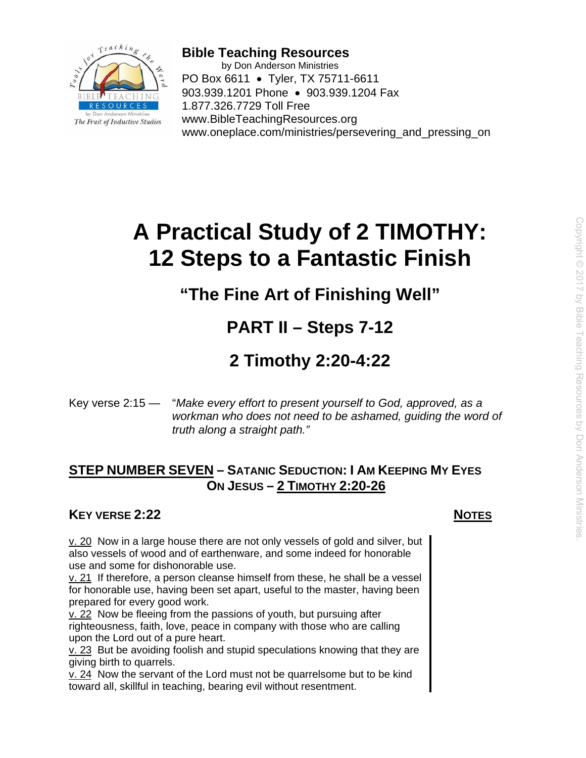

**Bible Teaching Resources**  by Don Anderson Ministries PO Box 6611 • Tyler, TX 75711-6611 903.939.1201 Phone • 903.939.1204 Fax 1.877.326.7729 Toll Free www.BibleTeachingResources.org www.oneplace.com/ministries/persevering and pressing on

# **A Practical Study of 2 TIMOTHY: 12 Steps to a Fantastic Finish**

# **"The Fine Art of Finishing Well"**

# **PART II – Steps 7-12**

# **2 Timothy 2:20-4:22**

Key verse 2:15 — "*Make every effort to present yourself to God, approved, as a workman who does not need to be ashamed, guiding the word of truth along a straight path."*

# **STEP NUMBER SEVEN – SATANIC SEDUCTION: I AM KEEPING MY EYES ON JESUS – 2 TIMOTHY 2:20-26**

# **KEY VERSE 2:22** NOTES

 $v. 20$  Now in a large house there are not only vessels of gold and silver, but also vessels of wood and of earthenware, and some indeed for honorable use and some for dishonorable use.

v. 21 If therefore, a person cleanse himself from these, he shall be a vessel for honorable use, having been set apart, useful to the master, having been prepared for every good work.

v. 22 Now be fleeing from the passions of youth, but pursuing after righteousness, faith, love, peace in company with those who are calling upon the Lord out of a pure heart.

v. 23 But be avoiding foolish and stupid speculations knowing that they are giving birth to quarrels.

v. 24 Now the servant of the Lord must not be quarrelsome but to be kind toward all, skillful in teaching, bearing evil without resentment.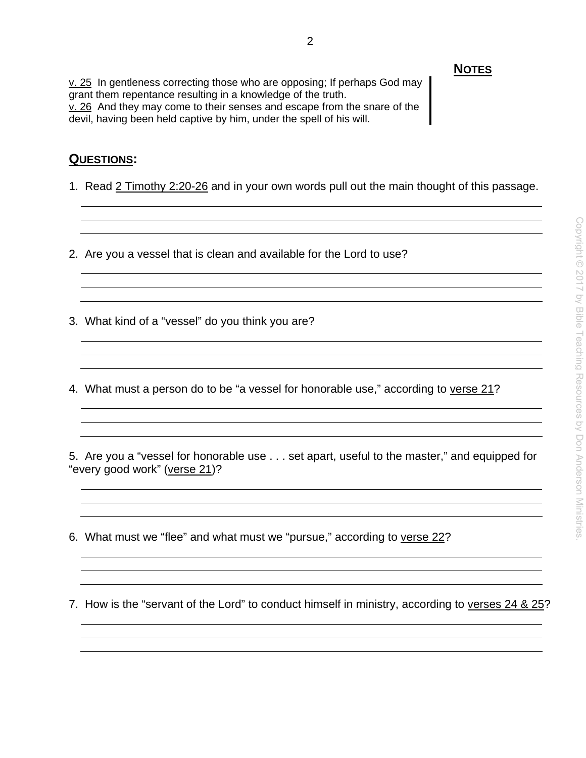v. 25 In gentleness correcting those who are opposing; If perhaps God may grant them repentance resulting in a knowledge of the truth. v. 26 And they may come to their senses and escape from the snare of the devil, having been held captive by him, under the spell of his will.

### **QUESTIONS:**

1. Read 2 Timothy 2:20-26 and in your own words pull out the main thought of this passage.

2. Are you a vessel that is clean and available for the Lord to use?

- 3. What kind of a "vessel" do you think you are?
- 4. What must a person do to be "a vessel for honorable use," according to verse 21?

5. Are you a "vessel for honorable use . . . set apart, useful to the master," and equipped for "every good work" (verse 21)?

6. What must we "flee" and what must we "pursue," according to verse 22?

7. How is the "servant of the Lord" to conduct himself in ministry, according to verses 24 & 25?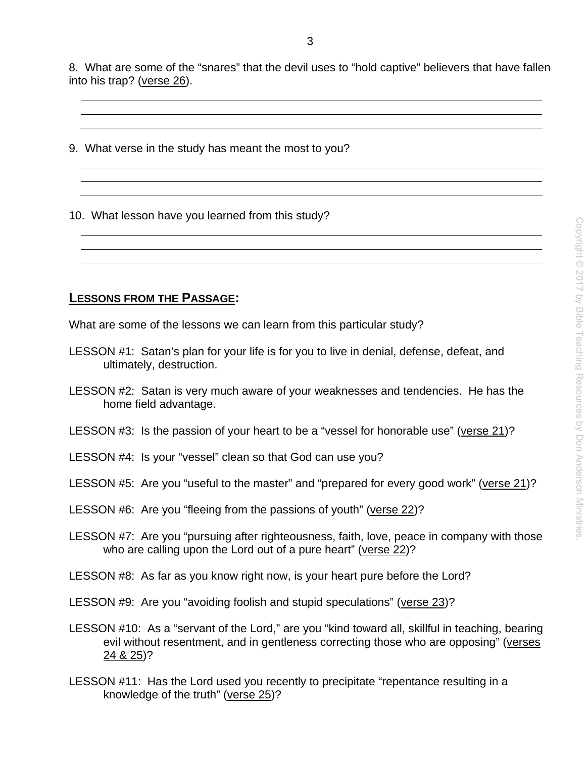8. What are some of the "snares" that the devil uses to "hold captive" believers that have fallen into his trap? (verse 26).

9. What verse in the study has meant the most to you?

10. What lesson have you learned from this study?

### **LESSONS FROM THE PASSAGE:**

What are some of the lessons we can learn from this particular study?

- LESSON #1: Satan's plan for your life is for you to live in denial, defense, defeat, and ultimately, destruction.
- LESSON #2: Satan is very much aware of your weaknesses and tendencies. He has the home field advantage.
- LESSON #3: Is the passion of your heart to be a "vessel for honorable use" (verse 21)?
- LESSON #4: Is your "vessel" clean so that God can use you?
- LESSON #5: Are you "useful to the master" and "prepared for every good work" (verse 21)?
- LESSON #6: Are you "fleeing from the passions of youth" (verse 22)?
- LESSON #7: Are you "pursuing after righteousness, faith, love, peace in company with those who are calling upon the Lord out of a pure heart" (verse 22)?
- LESSON #8: As far as you know right now, is your heart pure before the Lord?
- LESSON #9: Are you "avoiding foolish and stupid speculations" (verse 23)?
- LESSON #10: As a "servant of the Lord," are you "kind toward all, skillful in teaching, bearing evil without resentment, and in gentleness correcting those who are opposing" (verses 24 & 25)?
- LESSON #11: Has the Lord used you recently to precipitate "repentance resulting in a knowledge of the truth" (verse 25)?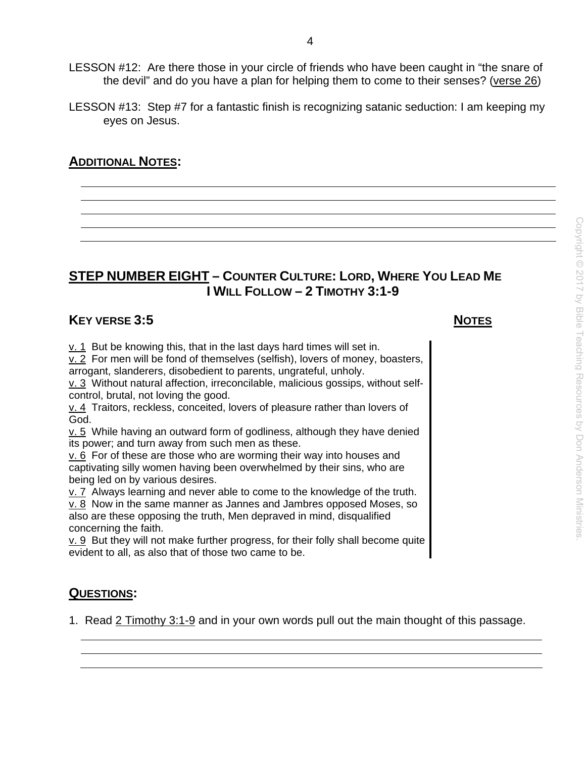- LESSON #12: Are there those in your circle of friends who have been caught in "the snare of the devil" and do you have a plan for helping them to come to their senses? (verse 26)
- LESSON #13: Step #7 for a fantastic finish is recognizing satanic seduction: I am keeping my eyes on Jesus.

# **ADDITIONAL NOTES:**

# **STEP NUMBER EIGHT – COUNTER CULTURE: LORD, WHERE YOU LEAD ME I WILL FOLLOW – 2 TIMOTHY 3:1-9**

## **KEY VERSE 3:5** NOTES

 $v. 1$  But be knowing this, that in the last days hard times will set in.

v. 2 For men will be fond of themselves (selfish), lovers of money, boasters, arrogant, slanderers, disobedient to parents, ungrateful, unholy.

v. 3 Without natural affection, irreconcilable, malicious gossips, without selfcontrol, brutal, not loving the good.

v. 4 Traitors, reckless, conceited, lovers of pleasure rather than lovers of God.

 $v. 5$  While having an outward form of godliness, although they have denied its power; and turn away from such men as these.

v. 6 For of these are those who are worming their way into houses and captivating silly women having been overwhelmed by their sins, who are being led on by various desires.

v. 7 Always learning and never able to come to the knowledge of the truth. v. 8 Now in the same manner as Jannes and Jambres opposed Moses, so also are these opposing the truth, Men depraved in mind, disqualified concerning the faith.

 $v. 9$  But they will not make further progress, for their folly shall become quite evident to all, as also that of those two came to be.

## **QUESTIONS:**

1. Read 2 Timothy 3:1-9 and in your own words pull out the main thought of this passage.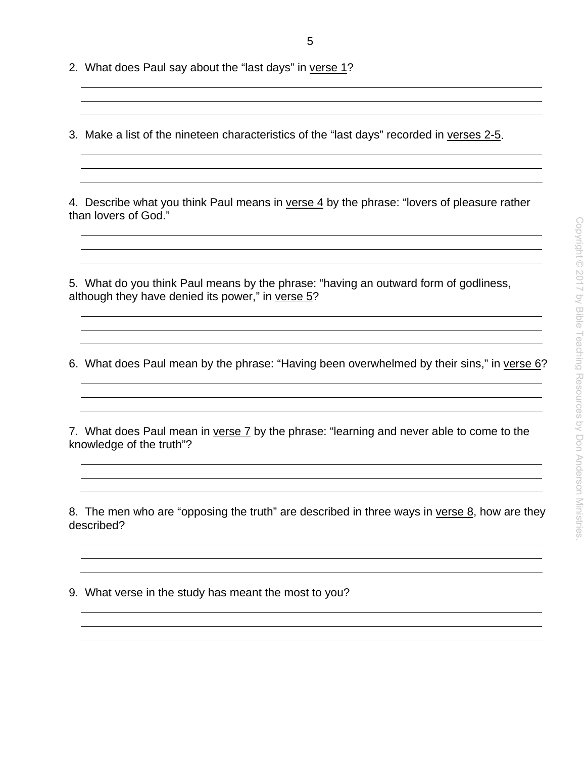2. What does Paul say about the "last days" in verse 1?

3. Make a list of the nineteen characteristics of the "last days" recorded in verses 2-5.

4. Describe what you think Paul means in verse 4 by the phrase: "lovers of pleasure rather than lovers of God."

5. What do you think Paul means by the phrase: "having an outward form of godliness, although they have denied its power," in verse 5?

6. What does Paul mean by the phrase: "Having been overwhelmed by their sins," in verse 6?

<u> 1989 - Johann Stoff, amerikansk politiker (d. 1989)</u>

7. What does Paul mean in verse 7 by the phrase: "learning and never able to come to the knowledge of the truth"?

8. The men who are "opposing the truth" are described in three ways in verse 8, how are they described?

9. What verse in the study has meant the most to you?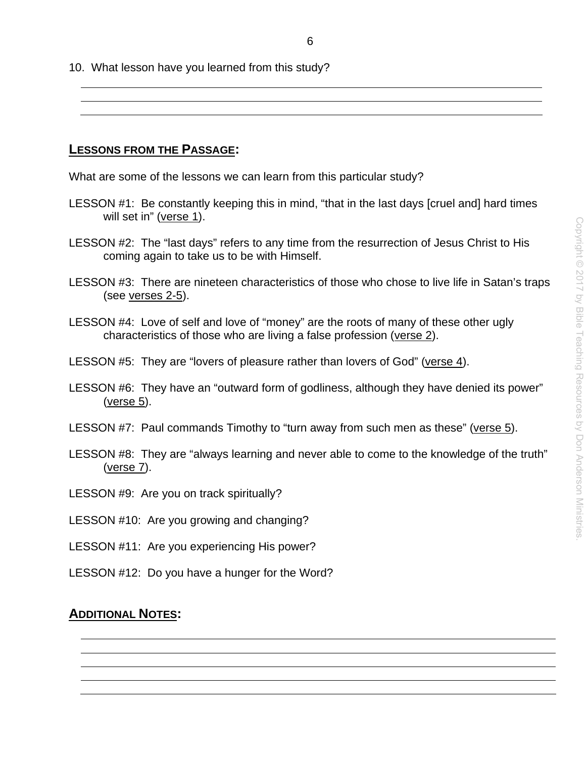10. What lesson have you learned from this study?

**LESSONS FROM THE PASSAGE:** 

What are some of the lessons we can learn from this particular study?

- LESSON #1: Be constantly keeping this in mind, "that in the last days [cruel and] hard times will set in" (verse 1).
- LESSON #2: The "last days" refers to any time from the resurrection of Jesus Christ to His coming again to take us to be with Himself.
- LESSON #3: There are nineteen characteristics of those who chose to live life in Satan's traps (see verses 2-5).
- LESSON #4: Love of self and love of "money" are the roots of many of these other ugly characteristics of those who are living a false profession (verse 2).
- LESSON #5: They are "lovers of pleasure rather than lovers of God" (verse 4).
- LESSON #6: They have an "outward form of godliness, although they have denied its power" (verse 5).
- LESSON #7: Paul commands Timothy to "turn away from such men as these" (verse 5).
- LESSON #8: They are "always learning and never able to come to the knowledge of the truth" (verse 7).
- LESSON #9: Are you on track spiritually?
- LESSON #10: Are you growing and changing?
- LESSON #11: Are you experiencing His power?
- LESSON #12: Do you have a hunger for the Word?

## **ADDITIONAL NOTES:**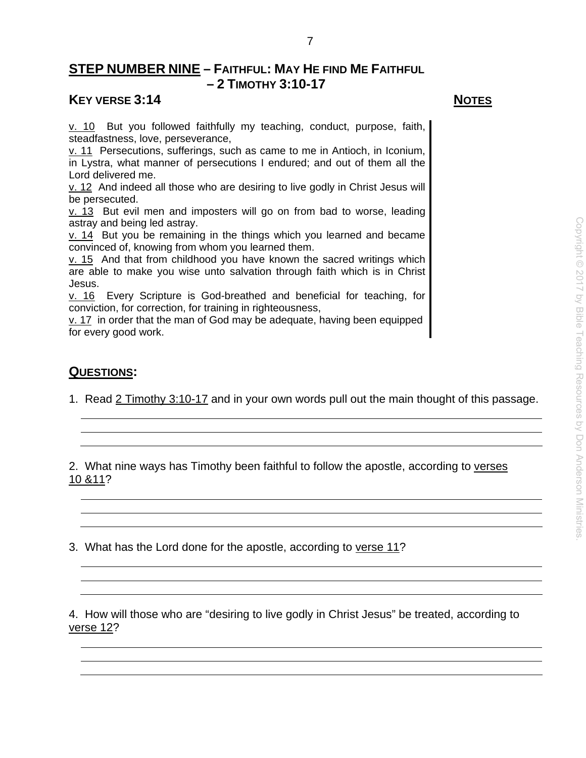# **STEP NUMBER NINE – FAITHFUL: MAY HE FIND ME FAITHFUL – 2 TIMOTHY 3:10-17**

### **KEY VERSE 3:14** NOTES

v. 10 But you followed faithfully my teaching, conduct, purpose, faith, steadfastness, love, perseverance,

v. 11 Persecutions, sufferings, such as came to me in Antioch, in Iconium, in Lystra, what manner of persecutions I endured; and out of them all the Lord delivered me.

v. 12 And indeed all those who are desiring to live godly in Christ Jesus will be persecuted.

v. 13 But evil men and imposters will go on from bad to worse, leading astray and being led astray.

 $v. 14$  But you be remaining in the things which you learned and became convinced of, knowing from whom you learned them.

v. 15 And that from childhood you have known the sacred writings which are able to make you wise unto salvation through faith which is in Christ Jesus.

v. 16 Every Scripture is God-breathed and beneficial for teaching, for conviction, for correction, for training in righteousness,

v. 17 in order that the man of God may be adequate, having been equipped for every good work.

## **QUESTIONS:**

1. Read 2 Timothy 3:10-17 and in your own words pull out the main thought of this passage.

2. What nine ways has Timothy been faithful to follow the apostle, according to verses 10 &11?

3. What has the Lord done for the apostle, according to verse 11?

4. How will those who are "desiring to live godly in Christ Jesus" be treated, according to verse 12?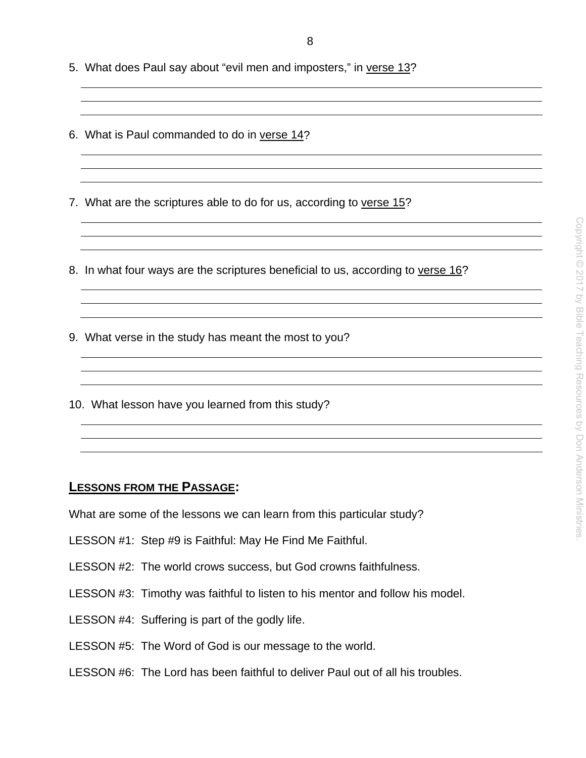- 5. What does Paul say about "evil men and imposters," in verse 13?
- 6. What is Paul commanded to do in verse 14?
- 7. What are the scriptures able to do for us, according to verse 15?
- 8. In what four ways are the scriptures beneficial to us, according to verse 16?
- 9. What verse in the study has meant the most to you?
- 10. What lesson have you learned from this study?

#### **LESSONS FROM THE PASSAGE:**

What are some of the lessons we can learn from this particular study?

- LESSON #1: Step #9 is Faithful: May He Find Me Faithful.
- LESSON #2: The world crows success, but God crowns faithfulness.
- LESSON #3: Timothy was faithful to listen to his mentor and follow his model.
- LESSON #4: Suffering is part of the godly life.
- LESSON #5: The Word of God is our message to the world.
- LESSON #6: The Lord has been faithful to deliver Paul out of all his troubles.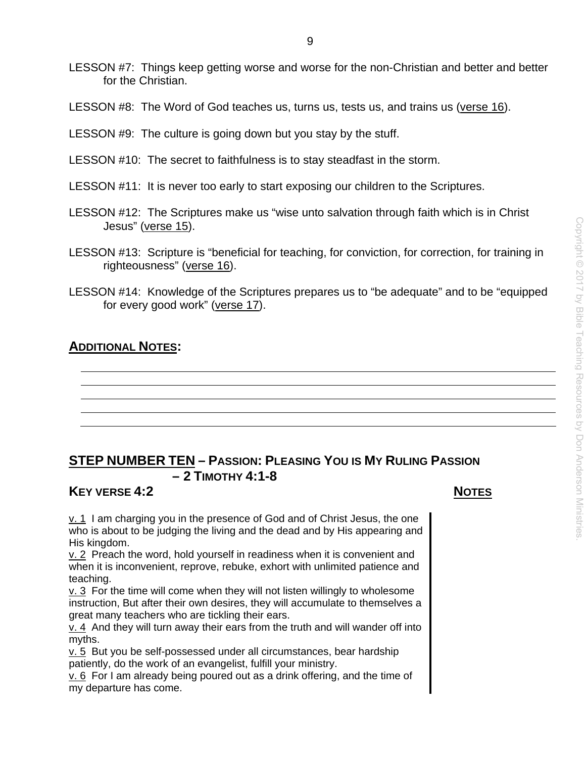- LESSON #7: Things keep getting worse and worse for the non-Christian and better and better for the Christian.
- LESSON #8: The Word of God teaches us, turns us, tests us, and trains us (verse 16).
- LESSON #9: The culture is going down but you stay by the stuff.
- LESSON #10: The secret to faithfulness is to stay steadfast in the storm.
- LESSON #11: It is never too early to start exposing our children to the Scriptures.
- LESSON #12: The Scriptures make us "wise unto salvation through faith which is in Christ Jesus" (verse 15).
- LESSON #13: Scripture is "beneficial for teaching, for conviction, for correction, for training in righteousness" (verse 16).
- LESSON #14: Knowledge of the Scriptures prepares us to "be adequate" and to be "equipped for every good work" (verse 17).

#### **ADDITIONAL NOTES:**

# **STEP NUMBER TEN – PASSION: PLEASING YOU IS MY RULING PASSION – 2 TIMOTHY 4:1-8**

#### **KEY VERSE 4:2** NOTES

 $v. 1$  I am charging you in the presence of God and of Christ Jesus, the one who is about to be judging the living and the dead and by His appearing and His kingdom.

v. 2 Preach the word, hold yourself in readiness when it is convenient and when it is inconvenient, reprove, rebuke, exhort with unlimited patience and teaching.

v. 3 For the time will come when they will not listen willingly to wholesome instruction, But after their own desires, they will accumulate to themselves a great many teachers who are tickling their ears.

v. 4 And they will turn away their ears from the truth and will wander off into myths.

v. 5 But you be self-possessed under all circumstances, bear hardship patiently, do the work of an evangelist, fulfill your ministry.

v. 6 For I am already being poured out as a drink offering, and the time of my departure has come.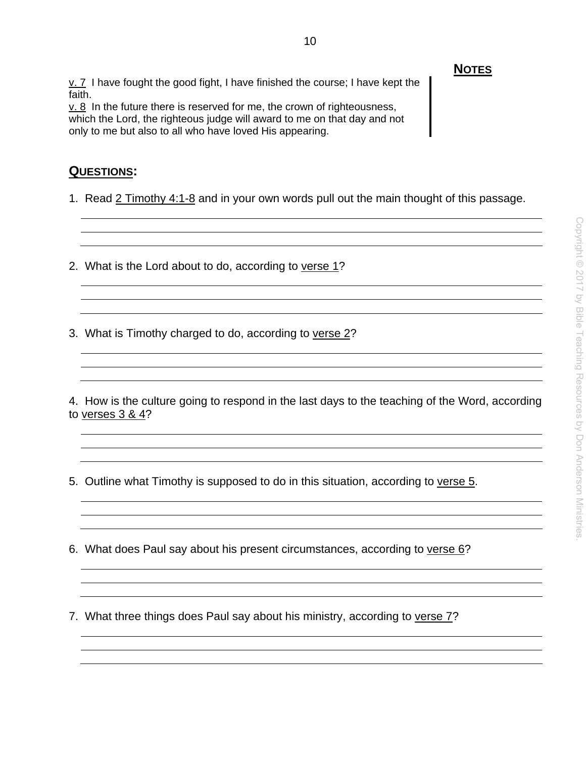*NOTES* v. 7 I have fought the good fight, I have finished the course; I have kept the faith.

v. 8 In the future there is reserved for me, the crown of righteousness, which the Lord, the righteous judge will award to me on that day and not only to me but also to all who have loved His appearing.

#### **QUESTIONS:**

1. Read 2 Timothy 4:1-8 and in your own words pull out the main thought of this passage.

2. What is the Lord about to do, according to verse 1?

3. What is Timothy charged to do, according to verse 2?

4. How is the culture going to respond in the last days to the teaching of the Word, according to verses 3 & 4?

<u> 1980 - Johann Barn, mars ann an t-Amhain Aonaich ann an t-Aonaich ann an t-Aonaich ann an t-Aonaich ann an t-</u>

5. Outline what Timothy is supposed to do in this situation, according to verse 5.

6. What does Paul say about his present circumstances, according to verse 6?

7. What three things does Paul say about his ministry, according to verse 7?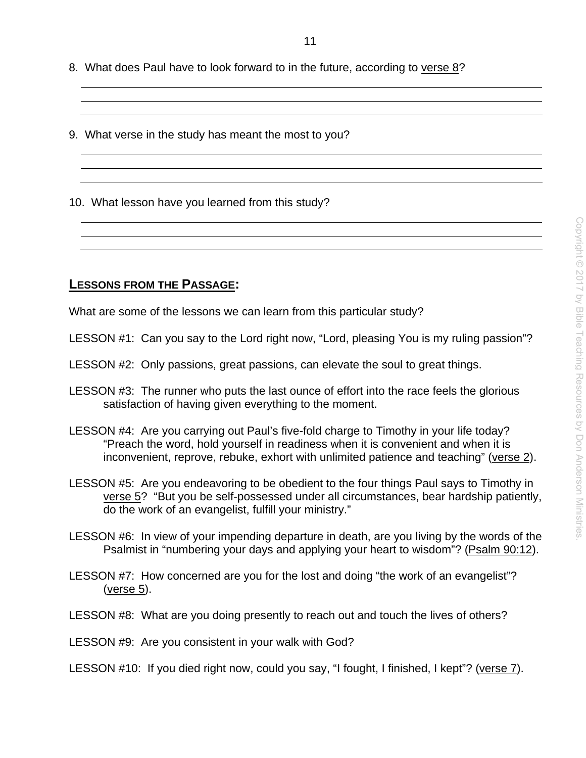8. What does Paul have to look forward to in the future, according to verse 8?

9. What verse in the study has meant the most to you?

10. What lesson have you learned from this study?

#### **LESSONS FROM THE PASSAGE:**

What are some of the lessons we can learn from this particular study?

LESSON #1: Can you say to the Lord right now, "Lord, pleasing You is my ruling passion"?

LESSON #2: Only passions, great passions, can elevate the soul to great things.

- LESSON #3: The runner who puts the last ounce of effort into the race feels the glorious satisfaction of having given everything to the moment.
- LESSON #4: Are you carrying out Paul's five-fold charge to Timothy in your life today? "Preach the word, hold yourself in readiness when it is convenient and when it is inconvenient, reprove, rebuke, exhort with unlimited patience and teaching" (verse 2).
- LESSON #5: Are you endeavoring to be obedient to the four things Paul says to Timothy in verse 5? "But you be self-possessed under all circumstances, bear hardship patiently, do the work of an evangelist, fulfill your ministry."
- LESSON #6: In view of your impending departure in death, are you living by the words of the Psalmist in "numbering your days and applying your heart to wisdom"? (Psalm 90:12).
- LESSON #7: How concerned are you for the lost and doing "the work of an evangelist"? (verse 5).
- LESSON #8: What are you doing presently to reach out and touch the lives of others?
- LESSON #9: Are you consistent in your walk with God?
- LESSON #10: If you died right now, could you say, "I fought, I finished, I kept"? (verse 7).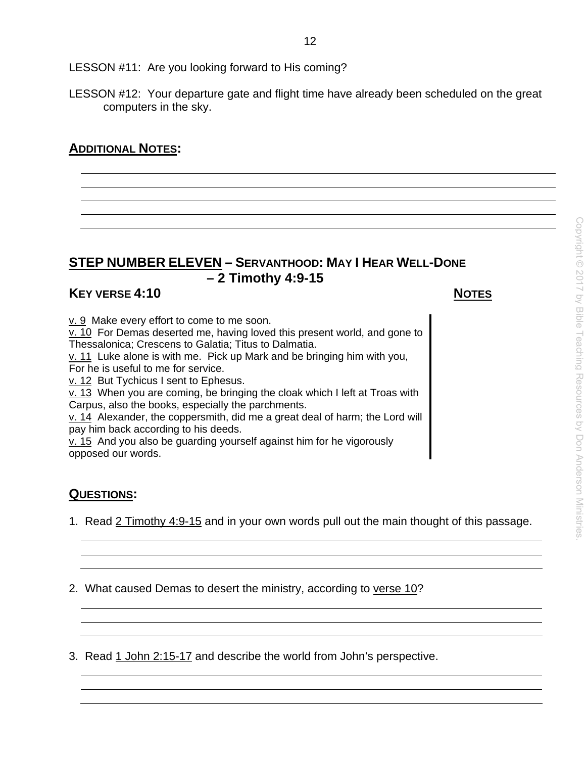LESSON #11: Are you looking forward to His coming?

LESSON #12: Your departure gate and flight time have already been scheduled on the great computers in the sky.

# **ADDITIONAL NOTES:**

# **STEP NUMBER ELEVEN – SERVANTHOOD: MAY I HEAR WELL-DONE – 2 Timothy 4:9-15**

# **KEY VERSE 4:10** NOTES

v. 9 Make every effort to come to me soon.

v. 10 For Demas deserted me, having loved this present world, and gone to Thessalonica; Crescens to Galatia; Titus to Dalmatia.

v. 11 Luke alone is with me. Pick up Mark and be bringing him with you, For he is useful to me for service.

v. 12 But Tychicus I sent to Ephesus.

v. 13 When you are coming, be bringing the cloak which I left at Troas with Carpus, also the books, especially the parchments.

v. 14 Alexander, the coppersmith, did me a great deal of harm; the Lord will pay him back according to his deeds.

v. 15 And you also be guarding yourself against him for he vigorously opposed our words.

# **QUESTIONS:**

1. Read 2 Timothy 4:9-15 and in your own words pull out the main thought of this passage.

2. What caused Demas to desert the ministry, according to verse 10?

3. Read 1 John 2:15-17 and describe the world from John's perspective.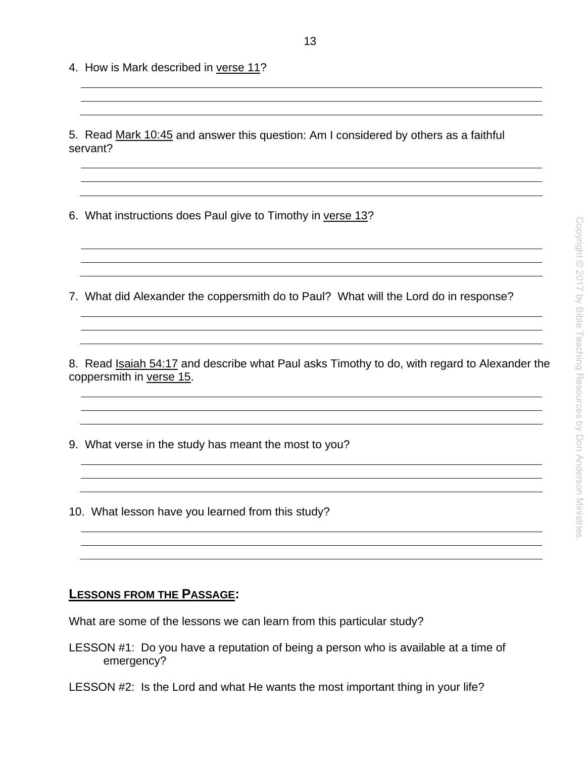4. How is Mark described in verse 11?

5. Read Mark 10:45 and answer this question: Am I considered by others as a faithful servant?

- 6. What instructions does Paul give to Timothy in verse 13?
- 7. What did Alexander the coppersmith do to Paul? What will the Lord do in response?

8. Read Isaiah 54:17 and describe what Paul asks Timothy to do, with regard to Alexander the coppersmith in verse 15.

<u> 1989 - Johann Stein, marwolaethau a bhaile an t-Alban ann an t-Alban an t-Alban ann an t-Alban an t-Alban an</u>

9. What verse in the study has meant the most to you?

10. What lesson have you learned from this study?

#### **LESSONS FROM THE PASSAGE:**

What are some of the lessons we can learn from this particular study?

- LESSON #1: Do you have a reputation of being a person who is available at a time of emergency?
- LESSON #2: Is the Lord and what He wants the most important thing in your life?

<u> 1980 - Johann Barbara, martxa amerikan personal (h. 1980).</u>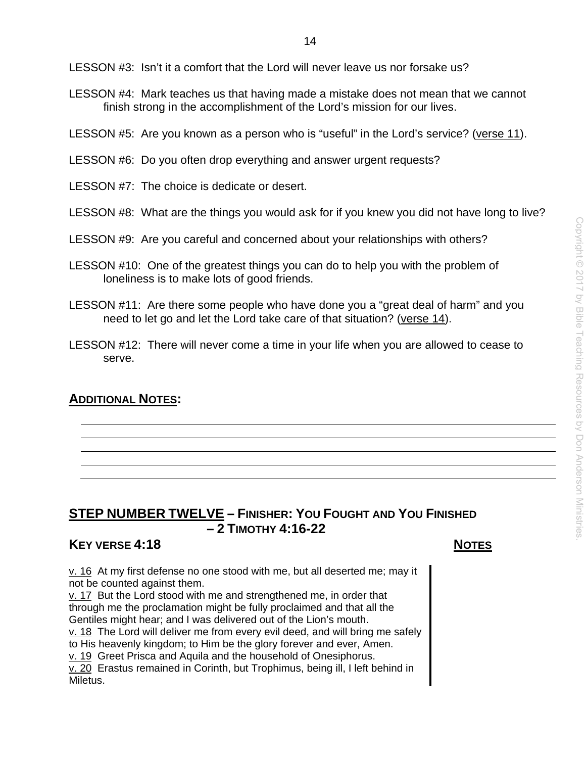LESSON #3: Isn't it a comfort that the Lord will never leave us nor forsake us?

- LESSON #4: Mark teaches us that having made a mistake does not mean that we cannot finish strong in the accomplishment of the Lord's mission for our lives.
- LESSON #5: Are you known as a person who is "useful" in the Lord's service? (verse 11).
- LESSON #6: Do you often drop everything and answer urgent requests?
- LESSON #7: The choice is dedicate or desert.
- LESSON #8: What are the things you would ask for if you knew you did not have long to live?
- LESSON #9: Are you careful and concerned about your relationships with others?
- LESSON #10: One of the greatest things you can do to help you with the problem of loneliness is to make lots of good friends.
- LESSON #11: Are there some people who have done you a "great deal of harm" and you need to let go and let the Lord take care of that situation? (verse 14).
- LESSON #12: There will never come a time in your life when you are allowed to cease to serve.

# **ADDITIONAL NOTES:**

# **STEP NUMBER TWELVE – FINISHER: YOU FOUGHT AND YOU FINISHED – 2 TIMOTHY 4:16-22**

### **KEY VERSE 4:18 NOTES**

 $v. 16$  At my first defense no one stood with me, but all deserted me; may it not be counted against them.

v. 17 But the Lord stood with me and strengthened me, in order that through me the proclamation might be fully proclaimed and that all the Gentiles might hear; and I was delivered out of the Lion's mouth. v. 18 The Lord will deliver me from every evil deed, and will bring me safely to His heavenly kingdom; to Him be the glory forever and ever, Amen. v. 19 Greet Prisca and Aquila and the household of Onesiphorus. v. 20 Erastus remained in Corinth, but Trophimus, being ill, I left behind in Miletus.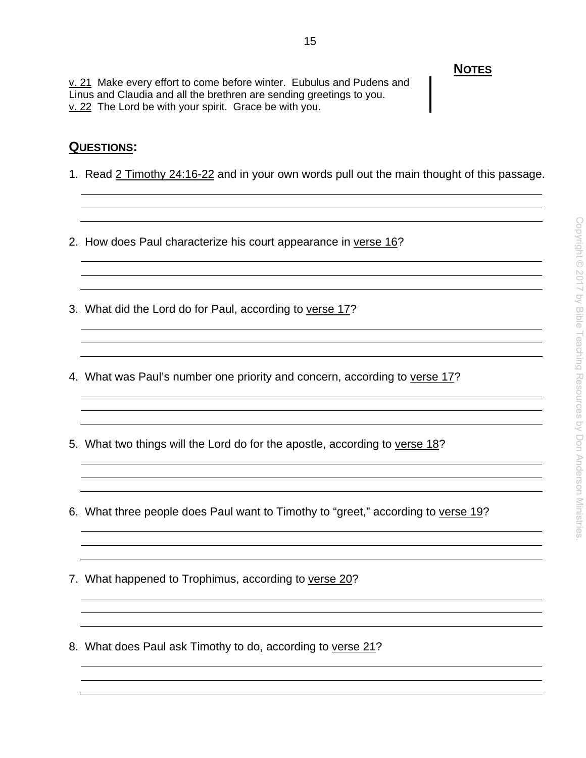v. 21 Make every effort to come before winter. Eubulus and Pudens and Linus and Claudia and all the brethren are sending greetings to you. v. 22 The Lord be with your spirit. Grace be with you.

### **QUESTIONS:**

1. Read 2 Timothy 24:16-22 and in your own words pull out the main thought of this passage.

and the control of the control of the control of the control of the control of the control of the control of the

- 2. How does Paul characterize his court appearance in verse 16?
- 3. What did the Lord do for Paul, according to verse 17?
- 4. What was Paul's number one priority and concern, according to verse 17?
- 5. What two things will the Lord do for the apostle, according to verse 18?
- 6. What three people does Paul want to Timothy to "greet," according to verse 19?
- 7. What happened to Trophimus, according to verse 20?
- 8. What does Paul ask Timothy to do, according to verse 21?